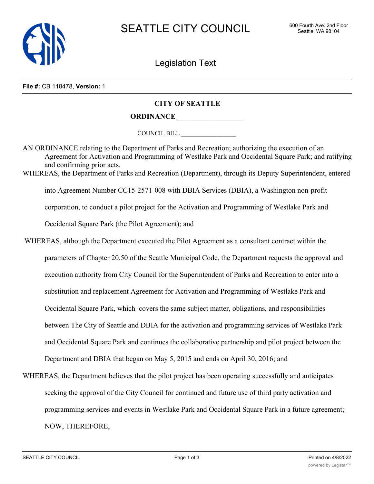

Legislation Text

## **File #:** CB 118478, **Version:** 1

## **CITY OF SEATTLE**

## **ORDINANCE \_\_\_\_\_\_\_\_\_\_\_\_\_\_\_\_\_\_**

COUNCIL BILL \_\_\_\_\_\_\_\_\_\_\_\_\_\_\_\_\_\_

AN ORDINANCE relating to the Department of Parks and Recreation; authorizing the execution of an Agreement for Activation and Programming of Westlake Park and Occidental Square Park; and ratifying and confirming prior acts. WHEREAS, the Department of Parks and Recreation (Department), through its Deputy Superintendent, entered into Agreement Number CC15-2571-008 with DBIA Services (DBIA), a Washington non-profit corporation, to conduct a pilot project for the Activation and Programming of Westlake Park and Occidental Square Park (the Pilot Agreement); and

 WHEREAS, although the Department executed the Pilot Agreement as a consultant contract within the parameters of Chapter 20.50 of the Seattle Municipal Code, the Department requests the approval and execution authority from City Council for the Superintendent of Parks and Recreation to enter into a substitution and replacement Agreement for Activation and Programming of Westlake Park and Occidental Square Park, which covers the same subject matter, obligations, and responsibilities between The City of Seattle and DBIA for the activation and programming services of Westlake Park and Occidental Square Park and continues the collaborative partnership and pilot project between the Department and DBIA that began on May 5, 2015 and ends on April 30, 2016; and

WHEREAS, the Department believes that the pilot project has been operating successfully and anticipates seeking the approval of the City Council for continued and future use of third party activation and programming services and events in Westlake Park and Occidental Square Park in a future agreement; NOW, THEREFORE,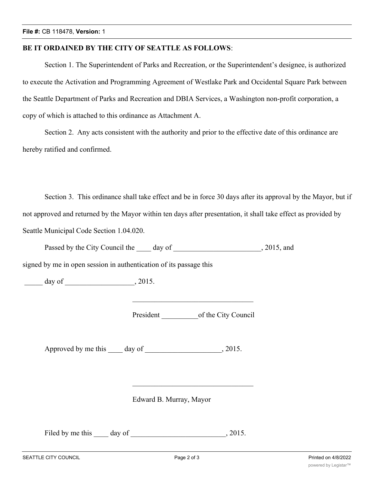## **BE IT ORDAINED BY THE CITY OF SEATTLE AS FOLLOWS**:

Section 1. The Superintendent of Parks and Recreation, or the Superintendent's designee, is authorized to execute the Activation and Programming Agreement of Westlake Park and Occidental Square Park between the Seattle Department of Parks and Recreation and DBIA Services, a Washington non-profit corporation, a copy of which is attached to this ordinance as Attachment A.

Section 2. Any acts consistent with the authority and prior to the effective date of this ordinance are hereby ratified and confirmed.

Section 3. This ordinance shall take effect and be in force 30 days after its approval by the Mayor, but if not approved and returned by the Mayor within ten days after presentation, it shall take effect as provided by Seattle Municipal Code Section 1.04.020.

Passed by the City Council the day of , 2015, and

signed by me in open session in authentication of its passage this

 $\frac{1}{\sqrt{25}}$  day of  $\frac{1}{\sqrt{25}}$ , 2015.

President of the City Council

Approved by me this \_\_\_\_ day of \_\_\_\_\_\_\_\_\_\_\_\_\_\_\_\_\_\_, 2015.

Edward B. Murray, Mayor

Filed by me this \_\_\_\_\_ day of \_\_\_\_\_\_\_\_\_\_\_\_\_\_\_\_\_\_\_\_\_\_\_\_\_\_\_\_, 2015.